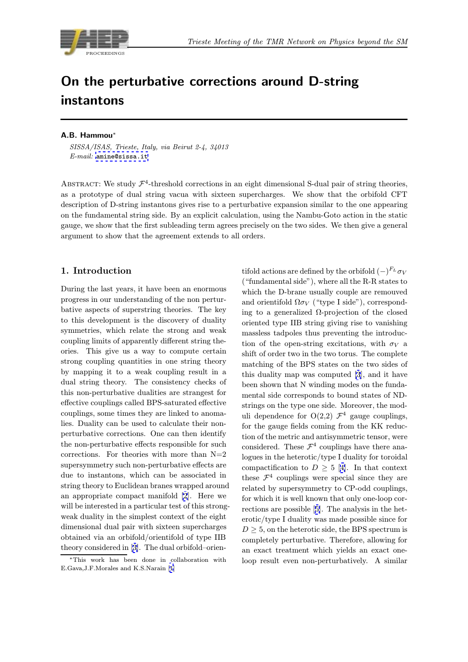

# On the perturbative corrections around D-string instantons

#### A.B. Hammou<sup>∗</sup>

SISSA/ISAS, Trieste, Italy, via Beirut 2-4, 34013  $E\text{-}mail:$  amine@sissa.it

ABSTRACT: We study  $\mathcal{F}^4$ -threshold corrections in an eight dimensional S-dual pair of string theories, as a prot[otype of dual s](mailto:amine@sissa.it)tring vacua with sixteen supercharges. We show that the orbifold CFT description of D-string instantons gives rise to a perturbative expansion similar to the one appearing on the fundamental string side. By an explicit calculation, using the Nambu-Goto action in the static gauge, we show that the first subleading term agrees precisely on the two sides. We then give a general argument to show that the agreement extends to all orders.

### 1. Introduction

During the last years, it have been an enormous progress in our understanding of the non perturbative aspects of superstring theories. The key to this development is the discovery of duality symmetries, which relate the strong and weak coupling limits of apparently different string theories. This give us a way to compute certain strong coupling quantities in one string theory by mapping it to a weak coupling result in a dual string theory. The consistency checks of this non-perturbative dualities are strangest for effective couplings called BPS-saturated effective couplings, some times they are linked to anomalies. Duality can be used to calculate their nonperturbative corrections. One can then identify the non-perturbative effects responsible for such corrections. For theories with more than  $N=2$ supersymmetry such non-perturbative effects are due to instantons, which can be associated in string theory to Euclidean branes wrapped around an appropriate compact manifold [2]. Here we will be interested in a particular test of this strongweak duality in the simplest context of the eight dimensional dual pair with sixteen supercharges obtained via an orbifold/orientifol[d o](#page-7-0)f type IIB theory considered in [3]. The dual orbifold–orien-

tifold actions are defined by the orbifold  $(-)^{F<sub>L</sub>}\sigma_V$ ("fundamental side"), where all the R-R states to which the D-brane usually couple are remouved and orientifold  $\Omega \sigma_V$  ("type I side"), corresponding to a generalized Ω-projection of the closed oriented type IIB string giving rise to vanishing massless tadpoles thus preventing the introduction of the open-string excitations, with  $\sigma_V$  a shift of order two in the two torus. The complete matching of the BPS states on the two sides of this duality map was computed [3], and it have been shown that N winding modes on the fundamental side corresponds to bound states of NDstrings on the type one side. Moreover, the moduli dependence for  $O(2,2)$   $\mathcal{F}^4$  g[au](#page-7-0)ge couplings, for the gauge fields coming from the KK reduction of the metric and antisymmetric tensor, were considered. These  $\mathcal{F}^4$  couplings have there analogues in the heterotic/type I duality for toroidal compactification to  $D \geq 5$  [4]. In that context these  $\mathcal{F}^4$  couplings were special since they are related by supersymmetry to CP-odd couplings, for which it is well known that only one-loop corrections are possible [5]. The [a](#page-7-0)nalysis in the heterotic/type I duality was made possible since for  $D \geq 5$ , on the heterotic side, the BPS spectrum is completely perturbative. Therefore, allowing for an exact treatment [wh](#page-7-0)ich yields an exact oneloop result even non-perturbatively. A similar

<sup>∗</sup>This work has been done in collaboration with E.Gava,J.F.Morales and K.S.Narain [1]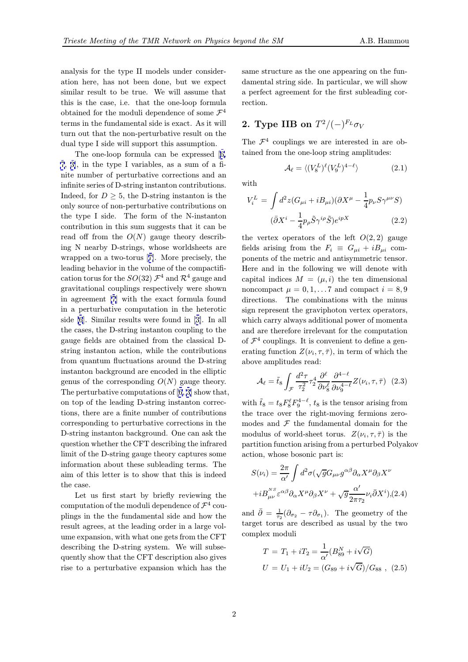analysis for the type II models under consideration here, has not been done, but we expect similar result to be true. We will assume that this is the case, i.e. that the one-loop formula obtained for the moduli dependence of some  $\mathcal{F}^4$ terms in the fundamental side is exact. As it will turn out that the non-perturbative result on the dual type I side will support this assumption.

The one-loop formula can be expressed [6, 7, 3], in the type I variables, as a sum of a finite number of perturbative corrections and an infinite series of D-string instanton contributions. Indeed, for  $D \geq 5$ , t[he](#page-7-0) D-string instanton is the [o](#page-7-0)n[ly](#page-7-0) source of non-perturbative contributions on the type I side. The form of the N-instanton contribution in this sum suggests that it can be read off from the  $O(N)$  gauge theory describing N nearby D-strings, whose worldsheets are wrapped on a two-torus [7]. More precisely, the leading behavior in the volume of the compactification torus for the  $SO(32)$   $\mathcal{F}^4$  and  $\mathcal{R}^4$  gauge and gravitational couplings respectively were shown in agreement [7] with th[e](#page-7-0) exact formula found in a perturbative computation in the heterotic side [6]. Similar results were found in [3]. In all the cases, the D-string instanton coupling to the gauge fields a[re](#page-7-0) obtained from the classical Dstring instanton action, while the contributions from [q](#page-7-0)uantum fluctuations around the [D](#page-7-0)-string instanton background are encoded in the elliptic genus of the corresponding  $O(N)$  gauge theory. The perturbative computations of [6, 3] show that, on top of the leading D-string instanton corrections, there are a finite number of contributions corresponding to perturbative corrections in the D-string instanton background. O[ne c](#page-7-0)an ask the question whether the CFT describing the infrared limit of the D-string gauge theory captures some information about these subleading terms. The aim of this letter is to show that this is indeed the case.

Let us first start by briefly reviewing the computation of the moduli dependence of  $\mathcal{F}^4$  couplings in the the fundamental side and how the result agrees, at the leading order in a large volume expansion, with what one gets from the CFT describing the D-string system. We will subsequently show that the CFT description also gives rise to a perturbative expansion which has the

same structure as the one appearing on the fundamental string side. In particular, we will show a perfect agreement for the first subleading correction.

# 2. Type IIB on  $T^2/(-)^{F_L}\sigma_V$

The  $\mathcal{F}^4$  couplings we are interested in are obtained from the one-loop string amplitudes:

$$
\mathcal{A}_{\ell} = \langle (V_8^L)^{\ell} (V_9^L)^{4-\ell} \rangle \tag{2.1}
$$

with

$$
V_i^L = \int d^2z (G_{\mu i} + iB_{\mu i}) (\partial X^{\mu} - \frac{1}{4} p_{\nu} S \gamma^{\mu \nu} S)
$$

$$
(\bar{\partial} X^i - \frac{1}{4} p_{\rho} \tilde{S} \gamma^{i \rho} \tilde{S}) e^{ipX}
$$
(2.2)

the vertex operators of the left  $O(2, 2)$  gauge fields arising from the  $F_i \equiv G_{ui} + iB_{ui}$  components of the metric and antisymmetric tensor. Here and in the following we will denote with capital indices  $M = (\mu, i)$  the ten dimensional noncompact  $\mu = 0, 1, \ldots 7$  and compact  $i = 8, 9$ directions. The combinations with the minus sign represent the graviphoton vertex operators, which carry always additional power of momenta and are therefore irrelevant for the computation of  $\mathcal{F}^4$  couplings. It is convenient to define a generating function  $Z(\nu_i, \tau, \bar{\tau})$ , in term of which the above amplitudes read:

$$
\mathcal{A}_{\ell} = \tilde{t}_{8} \int_{\mathcal{F}} \frac{d^{2}\tau}{\tau_{2}^{2}} \tau_{2}^{4} \frac{\partial^{\ell}}{\partial \nu_{8}^{\ell}} \frac{\partial^{4-\ell}}{\partial \nu_{9}^{4-\ell}} Z(\nu_{i}, \tau, \bar{\tau}) \tag{2.3}
$$

with  $\tilde{t}_8 = t_8 F_8^{\ell} F_9^{4-\ell}$ ,  $t_8$  is the tensor arising from the trace over the right-moving fermions zeromodes and  $\mathcal F$  the fundamental domain for the modulus of world-sheet torus.  $Z(\nu_i, \tau, \overline{\tau})$  is the partition function arising from a perturbed Polyakov action, whose bosonic part is:

$$
S(\nu_i) = \frac{2\pi}{\alpha'} \int d^2\sigma (\sqrt{g}G_{\mu\nu}g^{\alpha\beta}\partial_\alpha X^\mu \partial_\beta X^\nu
$$

$$
+ iB_{\mu\nu}^{NS} \varepsilon^{\alpha\beta}\partial_\alpha X^\mu \partial_\beta X^\nu + \sqrt{g} \frac{\alpha'}{2\pi\tau_2} \nu_i \bar{\partial}X^i), (2.4)
$$

and  $\bar{\partial} = \frac{1}{\tau_2} (\partial_{\sigma_2} - \tau \partial_{\sigma_1})$ . The geometry of the target torus are described as usual by the two complex moduli

$$
T = T_1 + iT_2 = \frac{1}{\alpha'} (B_{89}^N + i\sqrt{G})
$$
  
 
$$
U = U_1 + iU_2 = (G_{89} + i\sqrt{G})/G_{88} , (2.5)
$$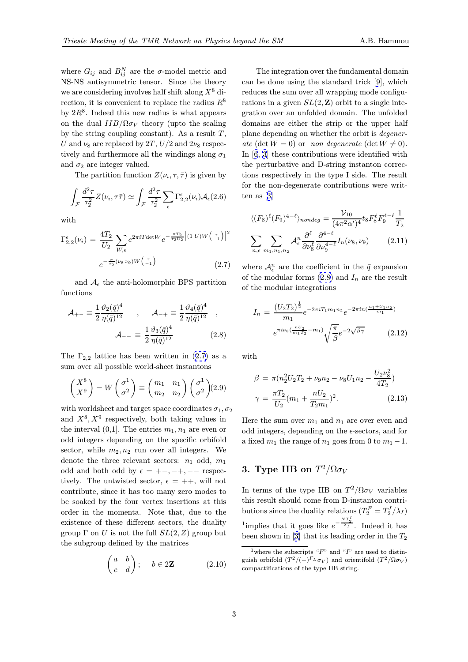<span id="page-2-0"></span>where  $G_{ij}$  and  $B_{ij}^N$  are the  $\sigma$ -model metric and NS-NS antisymmetric tensor. Since the theory we are considering involves half shift along  $X^8$  direction, it is convenient to replace the radius  $R^8$ by  $2R^8$ . Indeed this new radius is what appears on the dual  $IIB/\Omega \sigma_V$  theory (upto the scaling by the string coupling constant). As a result  $T$ , U and  $\nu_8$  are replaced by 2T,  $U/2$  and  $2\nu_8$  respectively and furthermore all the windings along  $\sigma_1$ and  $\sigma_2$  are integer valued.

The partition function  $Z(\nu_i, \tau, \bar{\tau})$  is given by

$$
\int_{\mathcal{F}} \frac{d^2 \tau}{\tau_2^2} Z(\nu_i, \tau \bar{\tau}) \simeq \int_{\mathcal{F}} \frac{d^2 \tau}{\tau_2^2} \sum_{\epsilon} \Gamma_{2,2}^{\epsilon}(\nu_i) \mathcal{A}_{\epsilon}(2.6)
$$

with

$$
\Gamma_{2,2}^{\epsilon}(\nu_i) = \frac{4T_2}{U_2} \sum_{W,\epsilon} e^{2\pi i T \det W} e^{-\frac{\pi T_2}{\tau_2 U_2} |(1\ U)W\left(\frac{\tau}{-1}\right)|^2}
$$

$$
e^{-\frac{\pi}{\tau_2}(\nu_8 \nu_9)W\left(\frac{\tau}{-1}\right)} \tag{2.7}
$$

and  $A_{\epsilon}$  the anti-holomorphic BPS partition functions

$$
\mathcal{A}_{+-} \equiv \frac{1}{2} \frac{\vartheta_2(\bar{q})^4}{\eta(\bar{q})^{12}} , \qquad \mathcal{A}_{-+} \equiv \frac{1}{2} \frac{\vartheta_4(\bar{q})^4}{\eta(\bar{q})^{12}} ,
$$

$$
\mathcal{A}_{--} \equiv \frac{1}{2} \frac{\vartheta_3(\bar{q})^4}{\eta(\bar{q})^{12}} .
$$
(2.8)

The  $\Gamma_{2,2}$  lattice has been written in  $(2.7)$  as a sum over all possible world-sheet instantons

$$
\begin{pmatrix} X^8 \\ X^9 \end{pmatrix} = W \begin{pmatrix} \sigma^1 \\ \sigma^2 \end{pmatrix} \equiv \begin{pmatrix} m_1 & n_1 \\ m_2 & n_2 \end{pmatrix} \begin{pmatrix} \sigma^1 \\ \sigma^2 \end{pmatrix} (2.9)
$$

with worldsheet and target space coordinates  $\sigma_1, \sigma_2$ and  $X^8, X^9$  respectively, both taking values in the interval  $(0,1]$ . The entries  $m_1, n_1$  are even or odd integers depending on the specific orbifold sector, while  $m_2, n_2$  run over all integers. We denote the three relevant sectors:  $n_1$  odd,  $m_1$ odd and both odd by  $\epsilon = +-, -+, --$  respectively. The untwisted sector,  $\epsilon = ++$ , will not contribute, since it has too many zero modes to be soaked by the four vertex insertions at this order in the momenta. Note that, due to the existence of these different sectors, the duality group  $\Gamma$  on U is not the full  $SL(2, Z)$  group but the subgroup defined by the matrices

$$
\begin{pmatrix} a & b \\ c & d \end{pmatrix}; \quad b \in 2\mathbf{Z} \tag{2.10}
$$

The integration over the fundamental domain can be done using the standard trick [9], which reduces the sum over all wrapping mode configurations in a given  $SL(2, \mathbb{Z})$  orbit to a single integration over an unfolded domain. The unfolded domains are either the strip or the u[pp](#page-7-0)er half plane depending on whether the orbit is degenerate (det  $W = 0$ ) or non degenerate (det  $W \neq 0$ ). In [6, 3] these contributions were identified with the perturbative and D-string instanton corrections respectively in the type I side. The result for the non-degenerate contributions were written [a](#page-7-0)s [\[](#page-7-0)3]

$$
\langle (F_8)^{\ell} (F_9)^{4-\ell} \rangle_{nondeg} = \frac{\mathcal{V}_{10}}{(4\pi^2 \alpha')^4} t_8 F_8^{\ell} F_9^{4-\ell} \frac{1}{T_2}
$$

$$
\sum_{n,\epsilon} \sum_{m_1, n_1, n_2} \mathcal{A}_{\epsilon}^n \frac{\partial^{\ell}}{\partial \nu_8^{\ell}} \frac{\partial^{4-\ell}}{\partial \nu_9^{4-\ell}} I_n(\nu_8, \nu_9) \qquad (2.11)
$$

where  $\mathcal{A}_{\epsilon}^{n}$  are the coefficient in the  $\bar{q}$  expansion of the modular forms  $(2.8)$  and  $I_n$  are the result of the modular integrations

$$
I_n = \frac{(U_2 T_2)^{\frac{1}{2}}}{m_1} e^{-2\pi i T_1 m_1 n_2} e^{-2\pi i n \left(\frac{n_1 + U_1 n_2}{m_1}\right)}
$$

$$
e^{\pi i \nu_8 \left(\frac{n U_2}{m_1 T_2} - m_1\right)} \sqrt{\frac{\pi}{\beta}} e^{-2\sqrt{\beta \gamma}} \qquad (2.12)
$$

with

$$
\beta = \pi (n_2^2 U_2 T_2 + \nu_9 n_2 - \nu_8 U_1 n_2 - \frac{U_2 \nu_8^2}{4T_2})
$$

$$
\gamma = \frac{\pi T_2}{U_2} (m_1 + \frac{nU_2}{T_2 m_1})^2.
$$
(2.13)

Here the sum over  $m_1$  and  $n_1$  are over even and odd integers, depending on the  $\epsilon$ -sectors, and for a fixed  $m_1$  the range of  $n_1$  goes from 0 to  $m_1 - 1$ .

## 3. Type IIB on  $T^2/\Omega \sigma_V$

In terms of the type IIB on  $T^2/\Omega \sigma_V$  variables this result should come from D-instanton contributions since the duality relations  $(T_2^F = T_2^I/\lambda_I)$ <sup>1</sup>implies that it goes like  $e^{-\frac{NT_2^I}{\lambda_I}}$ . Indeed it has been shown in  $[3]$  that its leading order in the  $T_2$ 

<sup>&</sup>lt;sup>1</sup>where the subscripts " $F$ " and " $I$ " are used to distinguish orbifold  $(T^2/(-)^{F_L}\sigma_V)$  and orientifold  $(T^2/\Omega\sigma_V)$ compactifications [of](#page-7-0) the type IIB string.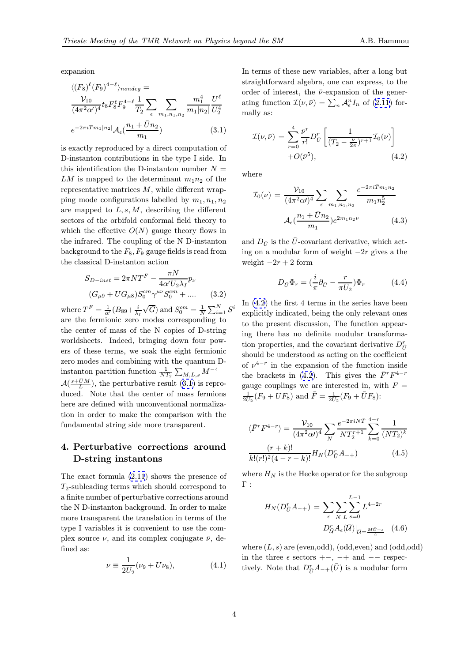<span id="page-3-0"></span>expansion

$$
\langle (F_8)^{\ell} (F_9)^{4-\ell} \rangle_{nondeg} =
$$
  

$$
\frac{\mathcal{V}_{10}}{(4\pi^2 \alpha')^4} t_8 F_8^{\ell} F_9^{4-\ell} \frac{1}{T_2} \sum_{\epsilon} \sum_{m_1, n_1, n_2} \frac{m_1^4}{m_1 |n_2|} \frac{U^{\ell}}{U_2^4}
$$
  

$$
e^{-2\pi i T m_1 |n_2|} \mathcal{A}_{\epsilon} (\frac{n_1 + \bar{U}n_2}{m_1})
$$
(3.1)

is exactly reproduced by a direct computation of D-instanton contributions in the type I side. In this identification the D-instanton number  $N =$ LM is mapped to the determinant  $m_1n_2$  of the representative matrices  $M$ , while different wrapping mode configurations labelled by  $m_1, n_1, n_2$ are mapped to  $L, s, M$ , describing the different sectors of the orbifold conformal field theory to which the effective  $O(N)$  gauge theory flows in the infrared. The coupling of the N D-instanton background to the  $F_8, F_9$  gauge fields is read from the classical D-instanton action

$$
S_{D-inst} = 2\pi N T^{F} - \frac{\pi N}{4\alpha' U_{2}\lambda_{I}} p_{\nu}
$$

$$
(G_{\mu 9} + U G_{\mu 8}) S_{0}^{cm} \gamma^{\mu \nu} S_{0}^{cm} + \dots \qquad (3.2)
$$

where  $T^F = \frac{1}{\alpha'}(B_{89} + \frac{i}{\lambda_I})$  $\sqrt{G}$ ) and  $S_0^{cm} = \frac{1}{N} \sum_{i=1}^{N} S^i$ are the fermionic zero modes corresponding to the center of mass of the N copies of D-string worldsheets. Indeed, bringing down four powers of these terms, we soak the eight fermionic zero modes and combining with the quantum Dinstanton partition function  $\frac{1}{NT_2} \sum_{M,L,s} M^{-4}$  $\mathcal{A}(\frac{s+\bar{U}M}{L})$ , the perturbative result  $(3.1)$  is reproduced. Note that the center of mass fermions here are defined with unconventional normalization in order to make the comparison with the fundamental string side more transparent.

### 4. Perturbative corrections around D-string instantons

The exact formula (2.11) shows the presence of  $T_2$ -subleading terms which should correspond to a finite number of perturbative corrections around the N D-instanton background. In order to make more transparent th[e tra](#page-2-0)nslation in terms of the type I variables it is convenient to use the complex source  $\nu$ , and its complex conjugate  $\bar{\nu}$ , defined as:

$$
\nu \equiv \frac{1}{2U_2} (\nu_9 + U \nu_8), \tag{4.1}
$$

In terms of these new variables, after a long but straightforward algebra, one can express, to the order of interest, the  $\bar{\nu}$ -expansion of the generating function  $\mathcal{I}(\nu,\bar{\nu}) = \sum_n \mathcal{A}_{\epsilon}^n I_n$  of (2.11) formally as:

$$
\mathcal{I}(\nu,\bar{\nu}) = \sum_{r=0}^{4} \frac{\bar{\nu}^r}{r!} D_{\bar{U}}^r \left[ \frac{1}{(T_2 - \frac{\nu}{2\pi})^{r+1}} \mathcal{I}_0(\nu) \right] + O(\bar{\nu}^5), \tag{4.2}
$$

where

$$
\mathcal{I}_0(\nu) = \frac{\mathcal{V}_{10}}{(4\pi^2 \alpha)^4} \sum_{\epsilon} \sum_{m_1, n_1, n_2} \frac{e^{-2\pi i \bar{T} m_1 n_2}}{m_1 n_2^5}
$$

$$
\mathcal{A}_{\epsilon}(\frac{n_1 + \bar{U} n_2}{m_1}) e^{2m_1 n_2 \nu} \tag{4.3}
$$

and  $D_{\bar{U}}$  is the  $\bar{U}$ -covariant derivative, which acting on a modular form of weight −2r gives a the weight  $-2r + 2$  form

$$
D_{\bar{U}}\Phi_r = \left(\frac{i}{\pi}\partial_{\bar{U}} - \frac{r}{\pi U_2}\right)\Phi_r \tag{4.4}
$$

In (4.2) the first 4 terms in the series have been explicitly indicated, being the only relevant ones to the present discussion, The function appearing there has no definite modular transformation properties, and the covariant derivative  $D_{\bar{U}}^r$ should be understood as acting on the coefficient of  $\nu^{4-r}$  in the expansion of the function inside the brackets in (4.2). This gives the  $\bar{F}^rF^{4-r}$ gauge couplings we are interested in, with  $F =$  $\frac{1}{2U_2}(F_9 + UF_8)$  and  $\bar{F} = \frac{1}{2U_2}(F_9 + \bar{U}F_8)$ :

$$
\langle \bar{F}^r F^{4-r} \rangle = \frac{\mathcal{V}_{10}}{(4\pi^2 \alpha')^4} \sum_N \frac{e^{-2\pi i N \bar{T}}}{N T_2^{r+1}} \sum_{k=0}^{4-r} \frac{1}{(N T_2)^k}
$$

$$
\frac{(r+k)!}{k!(r!)^2 (4-r-k)!} H_N(D_{\bar{U}}^r A_{-+})
$$
(4.5)

where  $H_N$  is the Hecke operator for the subgroup Γ :

$$
H_N(D_{\bar{U}}^r A_{-+}) = \sum_{\epsilon} \sum_{N|L} \sum_{s=0}^{L-1} L^{4-2r}
$$

$$
D_{\bar{U}}^r A_{\epsilon}(\bar{U})|_{\bar{U} = \frac{M\bar{U} + s}{L}} \quad (4.6)
$$

where  $(L, s)$  are (even, odd), (odd, even) and (odd, odd) in the three  $\epsilon$  sectors  $+-$ ,  $-+$  and  $--$  respectively. Note that  $D_{\bar{U}}^r A_{-+}(\bar{U})$  is a modular form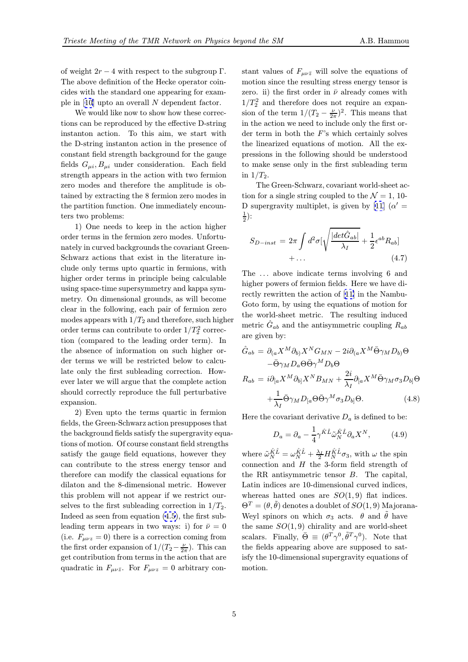<span id="page-4-0"></span>of weight  $2r - 4$  with respect to the subgroup  $\Gamma$ . The above definition of the Hecke operator coincides with the standard one appearing for example in [10] upto an overall N dependent factor.

We would like now to show how these corrections can be reproduced by the effective D-string instanton action. To this aim, we start with the D-[stri](#page-7-0)ng instanton action in the presence of constant field strength background for the gauge fields  $G_{\mu i}$ ,  $B_{\mu i}$  under consideration. Each field strength appears in the action with two fermion zero modes and therefore the amplitude is obtained by extracting the 8 fermion zero modes in the partition function. One immediately encounters two problems:

1) One needs to keep in the action higher order terms in the fermion zero modes. Unfortunately in curved backgrounds the covariant Green-Schwarz actions that exist in the literature include only terms upto quartic in fermions, with higher order terms in principle being calculable using space-time supersymmetry and kappa symmetry. On dimensional grounds, as will become clear in the following, each pair of fermion zero modes appears with  $1/T_2$  and therefore, such higher order terms can contribute to order  $1/T_2^2$  correction (compared to the leading order term). In the absence of information on such higher order terms we will be restricted below to calculate only the first subleading correction. However later we will argue that the complete action should correctly reproduce the full perturbative expansion.

2) Even upto the terms quartic in fermion fields, the Green-Schwarz action presupposes that the background fields satisfy the supergravity equations of motion. Of course constant field strengths satisfy the gauge field equations, however they can contribute to the stress energy tensor and therefore can modify the classical equations for dilaton and the 8-dimensional metric. However this problem will not appear if we restrict ourselves to the first subleading correction in  $1/T_2$ . Indeed as seen from equation (4.5), the first subleading term appears in two ways: i) for  $\bar{\nu} = 0$ (i.e.  $F_{\mu\nu z} = 0$ ) there is a correction coming from the first order expansion of  $1/(T_2 - \frac{\nu}{2\pi})$ . This can get contribution from terms in [the](#page-3-0) action that are quadratic in  $F_{\mu\nu\bar{z}}$ . For  $F_{\mu\nu z} = 0$  arbitrary con-

stant values of  $F_{\mu\nu\bar{z}}$  will solve the equations of motion since the resulting stress energy tensor is zero. ii) the first order in  $\bar{\nu}$  already comes with  $1/T_2^2$  and therefore does not require an expansion of the term  $1/(T_2 - \frac{\nu}{2\pi})^2$ . This means that in the action we need to include only the first order term in both the  $F$ 's which certainly solves the linearized equations of motion. All the expressions in the following should be understood to make sense only in the first subleading term in  $1/T_2$ .

The Green-Schwarz, covariant world-sheet action for a single string coupled to the  $\mathcal{N} = 1, 10$ -D supergravity multiplet, is given by [11] ( $\alpha' =$  $(\frac{1}{2})$ :

$$
S_{D-inst} = 2\pi \int d^2\sigma \left[\sqrt{\frac{|det\hat{G}_{ab}|}{\lambda_I}} + \frac{1}{2} \epsilon^{ab} R_{ab}\right] + \dots \tag{4.7}
$$

The ... above indicate terms involving 6 and higher powers of fermion fields. Here we have directly rewritten the action of [11] in the Nambu-Goto form, by using the equations of motion for the world-sheet metric. The resulting induced m[etr](#page-7-0)ic  $\hat{G}_{ab}$  and the antisymmetric coupling  $R_{ab}$ are given by:

$$
\hat{G}_{ab} = \partial_{(a} X^{M} \partial_{b)} X^{N} G_{MN} - 2i \partial_{(a} X^{M} \bar{\Theta} \gamma_{M} D_{b}) \Theta \n- \bar{\Theta} \gamma_{M} D_{a} \Theta \bar{\Theta} \gamma^{M} D_{b} \Theta \nR_{ab} = i \partial_{[a} X^{M} \partial_{b]} X^{N} B_{MN} + \frac{2i}{\lambda_{I}} \partial_{[a} X^{M} \bar{\Theta} \gamma_{M} \sigma_{3} D_{b]} \Theta \n+ \frac{1}{\lambda_{I}} \bar{\Theta} \gamma_{M} D_{[a} \Theta \bar{\Theta} \gamma^{M} \sigma_{3} D_{b]} \Theta.
$$
\n(4.8)

Here the covariant derivative  $D_a$  is defined to be:

$$
D_a = \partial_a - \frac{1}{4} \gamma^{\hat{K}\hat{L}} \tilde{\omega}_N^{\hat{K}\hat{L}} \partial_a X^N, \qquad (4.9)
$$

where  $\tilde{\omega}_N^{\hat{K}\hat{L}} = \omega_N^{\hat{K}\hat{L}} + \frac{\lambda_I}{2} H_N^{\hat{K}\hat{L}} \sigma_3$ , with  $\omega$  the spin connection and H the 3-form field strength of the RR antisymmetric tensor B. The capital, Latin indices are 10-dimensional curved indices, whereas hatted ones are  $SO(1,9)$  flat indices.  $\Theta^T = (\theta, \tilde{\theta})$  denotes a doublet of  $SO(1, 9)$  Majorana-Weyl spinors on which  $\sigma_3$  acts.  $\theta$  and  $\tilde{\theta}$  have the same  $SO(1,9)$  chirality and are world-sheet scalars. Finally,  $\bar{\Theta} \equiv (\theta^T \gamma^0, \tilde{\theta}^T \gamma^0)$ . Note that the fields appearing above are supposed to satisfy the 10-dimensional supergravity equations of motion.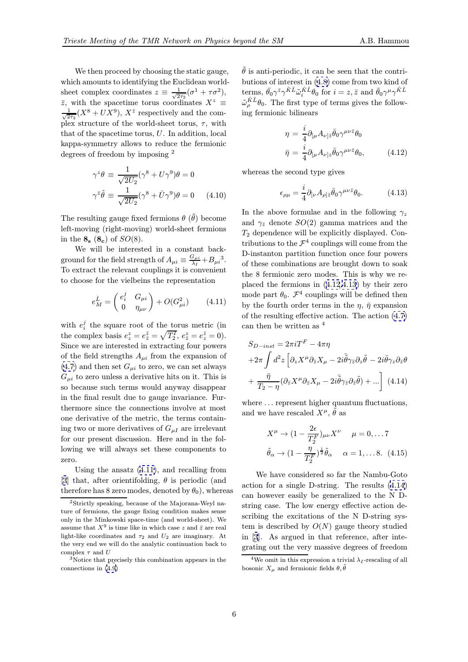<span id="page-5-0"></span>We then proceed by choosing the static gauge, which amounts to identifying the Euclidean worldsheet complex coordinates  $z \equiv \frac{1}{\sqrt{2}}$  $\frac{1}{2\tau_2}(\sigma^1 + \tau \sigma^2),$  $\overline{z}$ , with the spacetime torus coordinates  $X^z \equiv$ √ 1  $\frac{1}{2\tau_2}(X^8 + UX^9), X^{\bar{z}}$  respectively and the complex structure of the world-sheet torus,  $\tau$ , with that of the spacetime torus, U. In addition, local kappa-symmetry allows to reduce the fermionic degrees of freedom by imposing <sup>2</sup>

$$
\gamma^z \theta \equiv \frac{1}{\sqrt{2U_2}} (\gamma^8 + U \gamma^9) \theta = 0
$$
  

$$
\gamma^{\bar{z}} \tilde{\theta} \equiv \frac{1}{\sqrt{2U_2}} (\gamma^8 + \bar{U} \gamma^9) \theta = 0 \qquad (4.10)
$$

The resulting gauge fixed fermions  $\theta$  ( $\tilde{\theta}$ ) become left-moving (right-moving) world-sheet fermions in the  $\mathbf{8}_{\rm s}$  ( $\mathbf{8}_{\rm c}$ ) of  $SO(8)$ .

We will be interested in a constant background for the field strength of  $A_{\mu i} \equiv \frac{G_{\mu i}}{\lambda_I} + B_{\mu i}^3$ . To extract the relevant couplings it is convenient to choose for the vielbeins the representation

$$
e_{M}^{\hat{L}} = \begin{pmatrix} e_{i}^{j} & G_{\mu i} \\ 0 & \eta_{\mu\nu} \end{pmatrix} + O(G_{\mu i}^{2}) \qquad (4.11)
$$

with  $e_i^j$  the square root of the torus metric (in the complex basis  $e_z^z = e_{\overline{z}}^{\overline{z}} = \sqrt{T_2^I}, e_{\overline{z}}^z = e_z^{\overline{z}} = 0$ . Since we are interested in extracting four powers of the field strengths  $A_{\mu i}$  from the expansion of  $(4.7)$  and then set  $G_{\mu i}$  to zero, we can set always  $G_{\mu i}$  to zero unless a derivative hits on it. This is so because such terms would anyway disappear in the final result due to gauge invariance. Fur[ther](#page-4-0)more since the connections involve at most one derivative of the metric, the terms containing two or more derivatives of  $G_{\mu I}$  are irrelevant for our present discussion. Here and in the following we will always set these components to zero.

Using the ansatz (4.11), and recalling from [3] that, after orientifolding,  $\theta$  is periodic (and therefore has 8 zero modes, denoted by  $\theta_0$ , whereas

 $\theta$  is anti-periodic, it can be seen that the contributions of interest in (4.8) come from two kind of  $\text{terms}, \,\overline{\theta}_0 \gamma^{\bar{z}} \gamma^{\hat{K}\hat{L}} \tilde{\omega}_i^{\hat{K}\hat{L}} \theta_0 \text{ for } i = z, \bar{z} \text{ and } \bar{\theta}_0 \gamma^{\mu} \gamma^{\hat{K}\hat{L}}$  $\tilde{\omega}_{\rho}^{\hat{K}\hat{L}}\theta_0$ . The first type of terms gives the following fermionic bilinear[s](#page-4-0)

$$
\eta = \frac{i}{4} \partial_{[\mu} A_{\nu] \bar{z}} \bar{\theta}_0 \gamma^{\mu \nu \bar{z}} \theta_0
$$

$$
\bar{\eta} = \frac{i}{4} \partial_{[\mu} A_{\nu] z} \bar{\theta}_0 \gamma^{\mu \nu \bar{z}} \theta_0, \qquad (4.12)
$$

whereas the second type gives

$$
\epsilon_{\rho\mu} = \frac{i}{4} \partial_{[\nu} A_{\rho]\bar{z}} \bar{\theta}_0 \gamma^{\mu\nu\bar{z}} \theta_0. \tag{4.13}
$$

In the above formulae and in the following  $\gamma_z$ and  $\gamma_{\bar{z}}$  denote  $SO(2)$  gamma matrices and the  $T_2$  dependence will be explicitly displayed. Contributions to the  $\mathcal{F}^4$  couplings will come from the D-instanton partition function once four powers of these combinations are brought down to soak the 8 fermionic zero modes. This is why we replaced the fermions in (4.12,4.13) by their zero mode part  $\theta_0$ .  $\mathcal{F}^4$  couplings will be defined then by the fourth order terms in the  $\eta$ ,  $\bar{\eta}$  expansion of the resulting effective action. The action (4.7) can then be written as <sup>4</sup>

$$
S_{D-inst} = 2\pi i T^{F} - 4\pi \eta
$$
  
+2\pi  $\int d^{2}z \left[ \partial_{z} X^{\mu} \partial_{\bar{z}} X_{\mu} - 2i \bar{\tilde{\theta}} \gamma_{\bar{z}} \partial_{z} \tilde{\theta} - 2i \bar{\theta} \gamma_{z} \partial_{\bar{z}} \theta \right]$   
+  $\frac{\bar{\eta}}{T_{2} - \eta} (\partial_{\bar{z}} X^{\mu} \partial_{\bar{z}} X_{\mu} - 2i \bar{\tilde{\theta}} \gamma_{\bar{z}} \partial_{\bar{z}} \tilde{\theta}) + \dots \right]$  (4.14)

where  $\dots$  represent higher quantum fluctuations, and we have rescaled  $X^{\mu}$ ,  $\tilde{\theta}$  as

$$
X^{\mu} \to (1 - \frac{2\epsilon}{T_2^F})_{\mu\nu} X^{\nu} \quad \mu = 0, \dots 7
$$

$$
\tilde{\theta}_{\alpha} \to (1 - \frac{\eta}{T_2^F})^{\frac{1}{2}} \tilde{\theta}_{\alpha} \quad \alpha = 1, \dots 8. \quad (4.15)
$$

We have considered so far the Nambu-Goto action for a single D-string. The results (4.14) can however easily be generalized to the N Dstring case. The low energy effective action describing the excitations of the N D-string system is described by  $O(N)$  gauge theory studied in [3]. As argued in that reference, after integrating out the very massive degrees of freedom

<sup>2</sup>Strictly speaking, because of the Majorana-Weyl nature of fermions, the gauge fixing condition makes sense [on](#page-7-0)ly in the Minkowski space-time (and world-sheet). We assume that  $X^9$  is time like in which case z and  $\bar{z}$  are real light-like coordinates and  $\tau_2$  and  $U_2$  are imaginary. At the very end we will do the analytic continuation back to complex  $\tau$  and  $U$ 

<sup>3</sup>Notice that precisely this combination appears in the connections in (4.9)

<sup>&</sup>lt;sup>4</sup>We omit in this expression a trivial  $\lambda_I$ -rescaling of all bos[on](#page-7-0)ic  $X_{\mu}$  and fermionic fields  $\theta, \tilde{\theta}$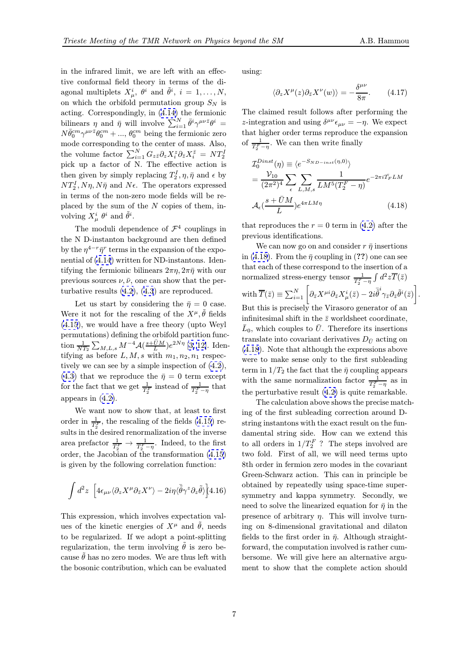in the infrared limit, we are left with an effective conformal field theory in terms of the diagonal multiplets  $X^i_\mu$ ,  $\theta^i$  and  $\tilde{\theta}^i$ ,  $i = 1, \ldots, N$ , on which the orbifold permutation group  $S_N$  is acting. Correspondingly, in (4.14) the fermionic bilinears  $\eta$  and  $\bar{\eta}$  will involve  $\sum_{i=1}^{N} \bar{\theta}^i \gamma^{\mu\nu\bar{z}} \theta^i =$  $N \bar{\theta}^{cm}_{0} \gamma^{\mu\nu\bar{z}} \theta^{cm}_{0} + \dots, \theta^{cm}_{0}$  being the fermionic zero mode corresponding to the center of mass. Also, the volume factor  $\sum_{i=1}^{N} G_{z\bar{z}} \partial_z X_i^z \partial_{\bar{z}} X_i^{\bar{z}} = N T_2^I$  $\sum_{i=1}^{N} G_{z\bar{z}} \partial_z X_i^z \partial_{\bar{z}} X_i^{\bar{z}} = N T_2^I$  $\sum_{i=1}^{N} G_{z\bar{z}} \partial_z X_i^z \partial_{\bar{z}} X_i^{\bar{z}} = N T_2^I$ pick up a factor of N. The effective action is then given by simply replacing  $T_2^I, \eta, \bar{\eta}$  and  $\epsilon$  by  $NT_2^I, N\eta, N\bar{\eta}$  and  $N\epsilon$ . The operators expressed in terms of the non-zero mode fields will be replaced by the sum of the  $N$  copies of them, involving  $X^i_\mu$   $\theta^i$  and  $\tilde{\theta}^i$ .

The moduli dependence of  $\mathcal{F}^4$  couplings in the N D-instanton background are then defined by the  $\eta^{4-r} \bar{\eta}^r$  terms in the expansion of the exponential of (4.14) written for ND-instantons. Identifying the fermionic bilinears  $2\pi\eta$ ,  $2\pi\bar{\eta}$  with our previous sources  $\nu, \bar{\nu}$ , one can show that the perturbative results (4.2), (4.3) are reproduced.

Let u[s](#page-5-0) [star](#page-5-0)t by considering the  $\bar{\eta} = 0$  case. Were it not for the rescaling of the  $X^{\mu}$ ,  $\hat{\theta}$  fields (4.15), we would have a free theory (upto Weyl permutations) de[finin](#page-3-0)g t[he](#page-3-0) [o](#page-3-0)rbifold partition function  $\frac{1}{NT_2} \sum_{M,L,s} M^{-4} \mathcal{A}(\frac{s+\bar{U}M}{L}) e^{2N\eta}$  [3, 12]. Identifying as before  $L, M, s$  with  $m_1, n_2, n_1$  respec[tively](#page-5-0) we can see by a simple inspection of (4.2), (4.3) that we reproduce the  $\bar{\eta} = 0$  t[er](#page-7-0)m except for the fact that we get  $\frac{1}{T_2^F}$  $\frac{1}{T_2^F}$  $\frac{1}{T_2^F}$  instead of  $\frac{1}{T_2^F - \eta}$  that appears in (4.2).

We want now to show that, at least to [firs](#page-3-0)t [orde](#page-3-0)r in  $\frac{1}{T_2^F}$ , the rescaling of the fields (4.15) results in the [desi](#page-3-0)red renormalization of the inverse area prefactor  $\frac{1}{T_2^F} \to \frac{1}{T_2^F - \eta}$ . Indeed, to the first order, the Jacobian of the transformation (4.15) is given by the following correlation fun[ction](#page-5-0):

$$
\int d^2z \left[4\epsilon_{\mu\nu}\langle \partial_z X^\mu \partial_{\bar{z}} X^\nu \rangle - 2i\eta \langle \bar{\tilde{\theta}} \gamma^z \partial_z \tilde{\theta} \rangle \right] \tag{4.16}
$$

This expression, which involves expectation values of the kinetic energies of  $X^{\mu}$  and  $\hat{\theta}$ , needs to be regularized. If we adopt a point-splitting regularization, the term involving  $\hat{\theta}$  is zero because  $\theta$  has no zero modes. We are thus left with the bosonic contribution, which can be evaluated using:

$$
\langle \partial_z X^{\mu}(z) \partial_{\bar{z}} X^{\nu}(w) \rangle = -\frac{\delta^{\mu\nu}}{8\pi}.
$$
 (4.17)

The claimed result follows after performing the z-integration and using  $\delta^{\mu\nu}\epsilon_{\mu\nu} = -\eta$ . We expect that higher order terms reproduce the expansion of  $\frac{1}{T_2^F - \eta}$ . We can then write finally

$$
\mathcal{I}_0^{Dinst}(\eta) \equiv \langle e^{-S_{ND-inst}(\eta,0)} \rangle
$$
  
=  $\frac{\mathcal{V}_{10}}{(2\pi^2)^4} \sum_{\epsilon} \sum_{L,M,s} \frac{1}{LM^5(T_2^F - \eta)} e^{-2\pi i \bar{T}_F LM}$   

$$
\mathcal{A}_{\epsilon}(\frac{s + \bar{U}M}{L}) e^{4\pi LM\eta}
$$
(4.18)

that reproduces the  $r = 0$  term in (4.2) after the previous identifications.

We can now go on and consider  $r \bar{\eta}$  insertions in (4.18). From the  $\bar{\eta}$  coupling in (??) one can see that each of these correspond to the [ins](#page-3-0)ertion of a normalized stress-energy tensor  $\frac{1}{T_2^F - \eta} \int d^2z \overline{T}(\bar{z})$  ${\rm with} \ \overline T(\bar z) \equiv \sum_{i=1}^N \left[ \partial_{\bar z} X^{\mu i} \partial_{\bar z} X_\mu^i (\bar z) - 2i \bar{\tilde\theta}^i \gamma_{\bar z} \partial_{\bar z} \tilde\theta^i (\bar z) \right].$ But this is precisely the Virasoro generator of an infinitesimal shift in the  $\bar{z}$  worldsheet coordinate,  $\bar{L}_0$ , which couples to  $\bar{U}$ . Therefore its insertions translate into covariant derivatives  $D_{\bar{U}}$  acting on (4.18). Note that although the expressions above were to make sense only to the first subleading term in  $1/T_2$  the fact that the  $\bar{\eta}$  coupling appears with the same normalization factor  $\frac{1}{T_2^F - \eta}$  as in the perturbative result (4.2) is quite remarkable.

The calculation above shows the precise matching of the first subleading correction around Dstring instantons with the exact result on the fundamental string side. [How](#page-3-0) can we extend this to all orders in  $1/T_2^F$  ? The steps involved are two fold. First of all, we will need terms upto 8th order in fermion zero modes in the covariant Green-Schwarz action. This can in principle be obtained by repeatedly using space-time supersymmetry and kappa symmetry. Secondly, we need to solve the linearized equation for  $\bar{\eta}$  in the presence of arbitrary  $\eta$ . This will involve turning on 8-dimensional gravitational and dilaton fields to the first order in  $\bar{\eta}$ . Although straightforward, the computation involved is rather cumbersome. We will give here an alternative argument to show that the complete action should